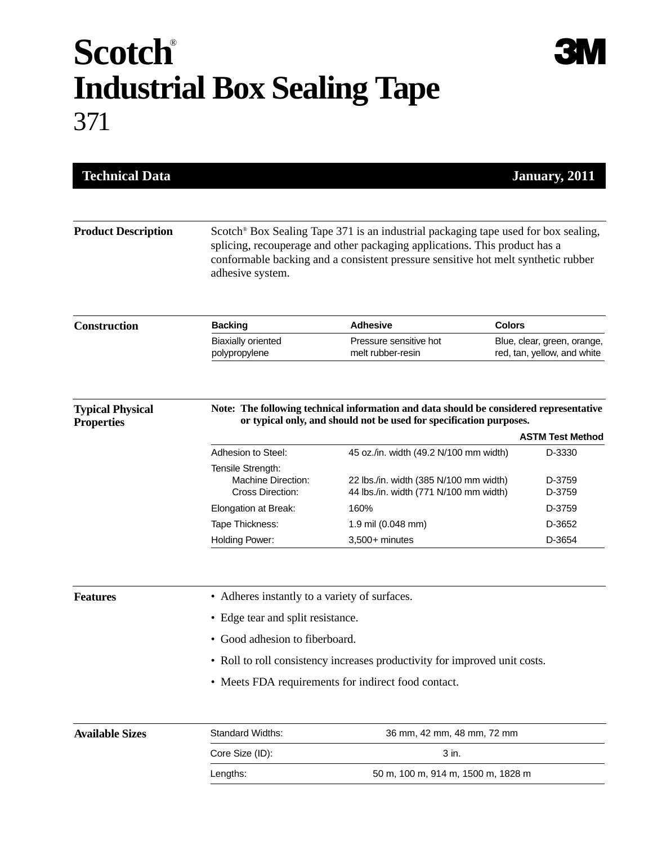## **Scotch**® **Industrial Box Sealing Tape** 371

| <b>Technical Data</b>                        |                                                                                                                                                                                                                                                                                       |                                                                                  | January, 2011                                              |  |
|----------------------------------------------|---------------------------------------------------------------------------------------------------------------------------------------------------------------------------------------------------------------------------------------------------------------------------------------|----------------------------------------------------------------------------------|------------------------------------------------------------|--|
| <b>Product Description</b>                   | Scotch <sup>®</sup> Box Sealing Tape 371 is an industrial packaging tape used for box sealing,<br>splicing, recouperage and other packaging applications. This product has a<br>conformable backing and a consistent pressure sensitive hot melt synthetic rubber<br>adhesive system. |                                                                                  |                                                            |  |
| <b>Construction</b>                          | <b>Backing</b>                                                                                                                                                                                                                                                                        | <b>Adhesive</b>                                                                  | <b>Colors</b>                                              |  |
|                                              | <b>Biaxially oriented</b><br>polypropylene                                                                                                                                                                                                                                            | Pressure sensitive hot<br>melt rubber-resin                                      | Blue, clear, green, orange,<br>red, tan, yellow, and white |  |
| <b>Typical Physical</b><br><b>Properties</b> | Note: The following technical information and data should be considered representative<br>or typical only, and should not be used for specification purposes.<br><b>ASTM Test Method</b>                                                                                              |                                                                                  |                                                            |  |
|                                              | Adhesion to Steel:                                                                                                                                                                                                                                                                    | 45 oz./in. width (49.2 N/100 mm width)                                           | D-3330                                                     |  |
|                                              | Tensile Strength:                                                                                                                                                                                                                                                                     |                                                                                  |                                                            |  |
|                                              | Machine Direction:<br>Cross Direction:                                                                                                                                                                                                                                                | 22 lbs./in. width (385 N/100 mm width)<br>44 lbs./in. width (771 N/100 mm width) | D-3759<br>D-3759                                           |  |
|                                              | Elongation at Break:                                                                                                                                                                                                                                                                  | 160%                                                                             | D-3759                                                     |  |
|                                              | Tape Thickness:                                                                                                                                                                                                                                                                       | 1.9 mil (0.048 mm)                                                               | D-3652                                                     |  |
|                                              | Holding Power:                                                                                                                                                                                                                                                                        | $3,500+$ minutes                                                                 | D-3654                                                     |  |
| <b>Features</b>                              | • Adheres instantly to a variety of surfaces.                                                                                                                                                                                                                                         |                                                                                  |                                                            |  |
|                                              | • Edge tear and split resistance.                                                                                                                                                                                                                                                     |                                                                                  |                                                            |  |
|                                              | • Good adhesion to fiberboard.                                                                                                                                                                                                                                                        |                                                                                  |                                                            |  |
|                                              | • Roll to roll consistency increases productivity for improved unit costs.                                                                                                                                                                                                            |                                                                                  |                                                            |  |
|                                              |                                                                                                                                                                                                                                                                                       | • Meets FDA requirements for indirect food contact.                              |                                                            |  |
| <b>Available Sizes</b>                       | Standard Widths:                                                                                                                                                                                                                                                                      | 36 mm, 42 mm, 48 mm, 72 mm                                                       |                                                            |  |
|                                              | Core Size (ID):                                                                                                                                                                                                                                                                       | 3 in.                                                                            |                                                            |  |
|                                              | Lengths:                                                                                                                                                                                                                                                                              | 50 m, 100 m, 914 m, 1500 m, 1828 m                                               |                                                            |  |
|                                              |                                                                                                                                                                                                                                                                                       |                                                                                  |                                                            |  |

**3M**